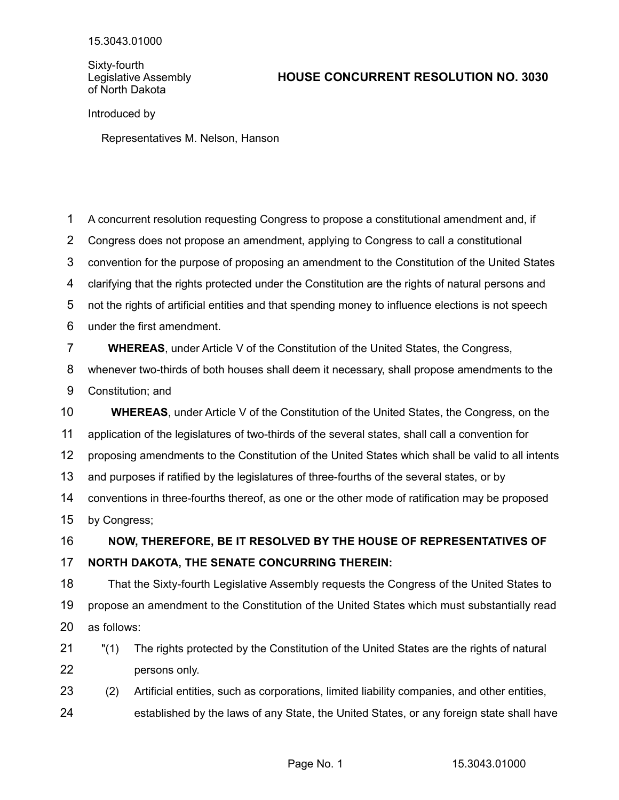Sixty-fourth Legislative Assembly of North Dakota

## **HOUSE CONCURRENT RESOLUTION NO. 3030**

Introduced by

Representatives M. Nelson, Hanson

A concurrent resolution requesting Congress to propose a constitutional amendment and, if Congress does not propose an amendment, applying to Congress to call a constitutional convention for the purpose of proposing an amendment to the Constitution of the United States clarifying that the rights protected under the Constitution are the rights of natural persons and not the rights of artificial entities and that spending money to influence elections is not speech under the first amendment. **WHEREAS**, under Article V of the Constitution of the United States, the Congress, whenever two-thirds of both houses shall deem it necessary, shall propose amendments to the Constitution; and **WHEREAS**, under Article V of the Constitution of the United States, the Congress, on the application of the legislatures of two-thirds of the several states, shall call a convention for proposing amendments to the Constitution of the United States which shall be valid to all intents and purposes if ratified by the legislatures of three-fourths of the several states, or by conventions in three-fourths thereof, as one or the other mode of ratification may be proposed by Congress; **NOW, THEREFORE, BE IT RESOLVED BY THE HOUSE OF REPRESENTATIVES OF NORTH DAKOTA, THE SENATE CONCURRING THEREIN:** That the Sixty-fourth Legislative Assembly requests the Congress of the United States to propose an amendment to the Constitution of the United States which must substantially read as follows: "(1) The rights protected by the Constitution of the United States are the rights of natural persons only. (2) Artificial entities, such as corporations, limited liability companies, and other entities, 1 2 3 4 5 6 7 8 9 10 11 12 13 14 15 16 17 18 19 20 21 22 23

established by the laws of any State, the United States, or any foreign state shall have 24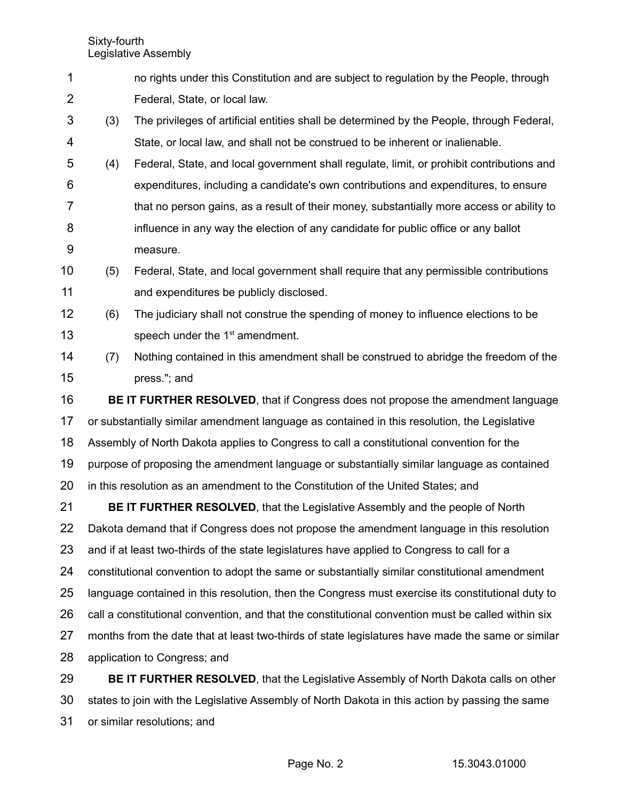Sixty-fourth Legislative Assembly

- no rights under this Constitution and are subject to regulation by the People, through Federal, State, or local law. 1 2
- (3) The privileges of artificial entities shall be determined by the People, through Federal, State, or local law, and shall not be construed to be inherent or inalienable. 3 4
- (4) Federal, State, and local government shall regulate, limit, or prohibit contributions and expenditures, including a candidate's own contributions and expenditures, to ensure that no person gains, as a result of their money, substantially more access or ability to influence in any way the election of any candidate for public office or any ballot measure. 5 6 7 8 9
- (5) Federal, State, and local government shall require that any permissible contributions and expenditures be publicly disclosed. 10 11
- (6) The judiciary shall not construe the spending of money to influence elections to be speech under the  $1<sup>st</sup>$  amendment. 12 13
- (7) Nothing contained in this amendment shall be construed to abridge the freedom of the press."; and 14 15

**BE IT FURTHER RESOLVED**, that if Congress does not propose the amendment language or substantially similar amendment language as contained in this resolution, the Legislative Assembly of North Dakota applies to Congress to call a constitutional convention for the purpose of proposing the amendment language or substantially similar language as contained in this resolution as an amendment to the Constitution of the United States; and 16 17 18 19 20

**BE IT FURTHER RESOLVED**, that the Legislative Assembly and the people of North Dakota demand that if Congress does not propose the amendment language in this resolution and if at least two-thirds of the state legislatures have applied to Congress to call for a constitutional convention to adopt the same or substantially similar constitutional amendment language contained in this resolution, then the Congress must exercise its constitutional duty to call a constitutional convention, and that the constitutional convention must be called within six months from the date that at least two-thirds of state legislatures have made the same or similar application to Congress; and 21 22 23 24 25 26 27 28

**BE IT FURTHER RESOLVED**, that the Legislative Assembly of North Dakota calls on other states to join with the Legislative Assembly of North Dakota in this action by passing the same or similar resolutions; and 29 30 31